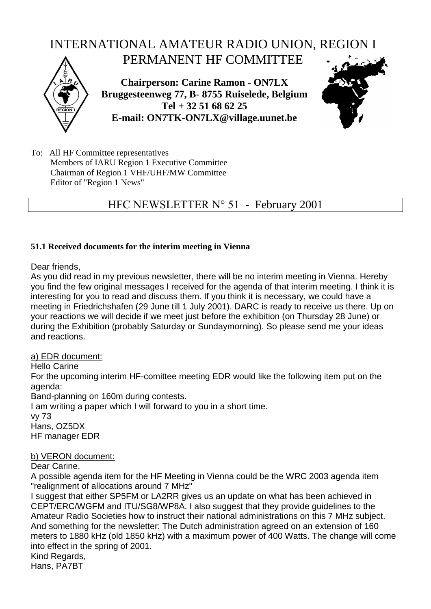

To: All HF Committee representatives Members of IARU Region 1 Executive Committee Chairman of Region 1 VHF/UHF/MW Committee Editor of "Region 1 News"

## HFC NEWSLETTER N° 51 - February 2001

#### **51.1 Received documents for the interim meeting in Vienna**

Dear friends,

As you did read in my previous newsletter, there will be no interim meeting in Vienna. Hereby you find the few original messages I received for the agenda of that interim meeting. I think it is interesting for you to read and discuss them. If you think it is necessary, we could have a meeting in Friedrichshafen (29 June till 1 July 2001). DARC is ready to receive us there. Up on your reactions we will decide if we meet just before the exhibition (on Thursday 28 June) or during the Exhibition (probably Saturday or Sundaymorning). So please send me your ideas and reactions.

### a) EDR document:

Hello Carine

For the upcoming interim HF-comittee meeting EDR would like the following item put on the agenda:

Band-planning on 160m during contests.

I am writing a paper which I will forward to you in a short time. vy 73

Hans, OZ5DX HF manager EDR

### b) VERON document:

Dear Carine,

A possible agenda item for the HF Meeting in Vienna could be the WRC 2003 agenda item "realignment of allocations around 7 MHz"

I suggest that either SP5FM or LA2RR gives us an update on what has been achieved in CEPT/ERC/WGFM and ITU/SG8/WP8A. I also suggest that they provide guidelines to the Amateur Radio Societies how to instruct their national administrations on this 7 MHz subject. And something for the newsletter: The Dutch administration agreed on an extension of 160 meters to 1880 kHz (old 1850 kHz) with a maximum power of 400 Watts. The change will come into effect in the spring of 2001. Kind Regards, Hans, PA7BT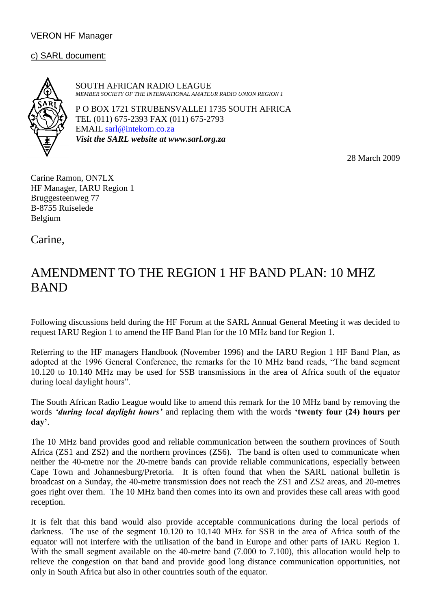### VERON HF Manager

### c) SARL document:

SOUTH AFRICAN RADIO LEAGUE *MEMBER SOCIETY OF THE INTERNATIONAL AMATEUR RADIO UNION REGION 1*

P O BOX 1721 STRUBENSVALLEI 1735 SOUTH AFRICA TEL (011) 675-2393 FAX (011) 675-2793 EMAIL sarl@intekom.co.za *Visit the SARL website at www.sarl.org.za*

28 March 2009

Carine Ramon, ON7LX HF Manager, IARU Region 1 Bruggesteenweg 77 B-8755 Ruiselede Belgium

Carine,

# AMENDMENT TO THE REGION 1 HF BAND PLAN: 10 MHZ BAND

Following discussions held during the HF Forum at the SARL Annual General Meeting it was decided to request IARU Region 1 to amend the HF Band Plan for the 10 MHz band for Region 1.

Referring to the HF managers Handbook (November 1996) and the IARU Region 1 HF Band Plan, as adopted at the 1996 General Conference, the remarks for the 10 MHz band reads, "The band segment 10.120 to 10.140 MHz may be used for SSB transmissions in the area of Africa south of the equator during local daylight hours".

The South African Radio League would like to amend this remark for the 10 MHz band by removing the words *'during local daylight hours'* and replacing them with the words **'twenty four (24) hours per day'**.

The 10 MHz band provides good and reliable communication between the southern provinces of South Africa (ZS1 and ZS2) and the northern provinces (ZS6). The band is often used to communicate when neither the 40-metre nor the 20-metre bands can provide reliable communications, especially between Cape Town and Johannesburg/Pretoria. It is often found that when the SARL national bulletin is broadcast on a Sunday, the 40-metre transmission does not reach the ZS1 and ZS2 areas, and 20-metres goes right over them. The 10 MHz band then comes into its own and provides these call areas with good reception.

It is felt that this band would also provide acceptable communications during the local periods of darkness. The use of the segment 10.120 to 10.140 MHz for SSB in the area of Africa south of the equator will not interfere with the utilisation of the band in Europe and other parts of IARU Region 1. With the small segment available on the 40-metre band (7.000 to 7.100), this allocation would help to relieve the congestion on that band and provide good long distance communication opportunities, not only in South Africa but also in other countries south of the equator.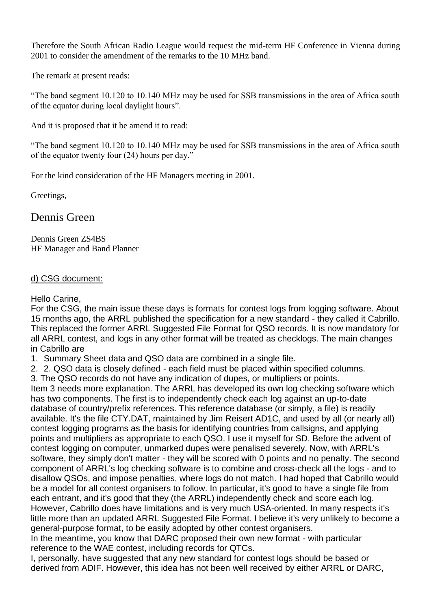Therefore the South African Radio League would request the mid-term HF Conference in Vienna during 2001 to consider the amendment of the remarks to the 10 MHz band.

The remark at present reads:

"The band segment 10.120 to 10.140 MHz may be used for SSB transmissions in the area of Africa south of the equator during local daylight hours".

And it is proposed that it be amend it to read:

"The band segment 10.120 to 10.140 MHz may be used for SSB transmissions in the area of Africa south of the equator twenty four (24) hours per day."

For the kind consideration of the HF Managers meeting in 2001.

Greetings,

Dennis Green

Dennis Green ZS4BS HF Manager and Band Planner

## d) CSG document:

## Hello Carine,

For the CSG, the main issue these days is formats for contest logs from logging software. About 15 months ago, the ARRL published the specification for a new standard - they called it Cabrillo. This replaced the former ARRL Suggested File Format for QSO records. It is now mandatory for all ARRL contest, and logs in any other format will be treated as checklogs. The main changes in Cabrillo are

1. Summary Sheet data and QSO data are combined in a single file.

2. 2. QSO data is closely defined - each field must be placed within specified columns.

3. The QSO records do not have any indication of dupes, or multipliers or points.

Item 3 needs more explanation. The ARRL has developed its own log checking software which has two components. The first is to independently check each log against an up-to-date database of country/prefix references. This reference database (or simply, a file) is readily available. It's the file CTY.DAT, maintained by Jim Reisert AD1C, and used by all (or nearly all) contest logging programs as the basis for identifying countries from callsigns, and applying points and multipliers as appropriate to each QSO. I use it myself for SD. Before the advent of contest logging on computer, unmarked dupes were penalised severely. Now, with ARRL's software, they simply don't matter - they will be scored with 0 points and no penalty. The second component of ARRL's log checking software is to combine and cross-check all the logs - and to disallow QSOs, and impose penalties, where logs do not match. I had hoped that Cabrillo would be a model for all contest organisers to follow. In particular, it's good to have a single file from each entrant, and it's good that they (the ARRL) independently check and score each log. However, Cabrillo does have limitations and is very much USA-oriented. In many respects it's little more than an updated ARRL Suggested File Format. I believe it's very unlikely to become a general-purpose format, to be easily adopted by other contest organisers.

In the meantime, you know that DARC proposed their own new format - with particular reference to the WAE contest, including records for QTCs.

I, personally, have suggested that any new standard for contest logs should be based or derived from ADIF. However, this idea has not been well received by either ARRL or DARC,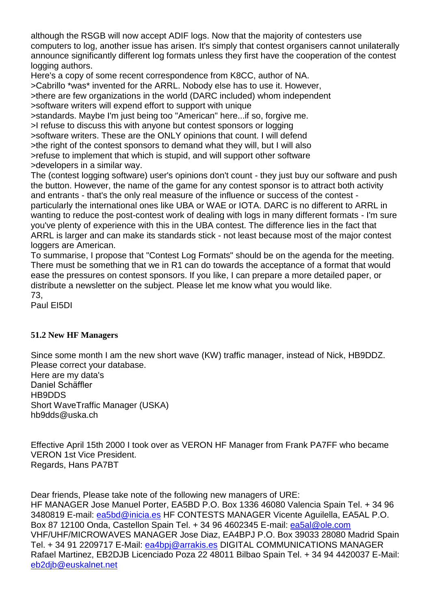although the RSGB will now accept ADIF logs. Now that the majority of contesters use computers to log, another issue has arisen. It's simply that contest organisers cannot unilaterally announce significantly different log formats unless they first have the cooperation of the contest logging authors.

Here's a copy of some recent correspondence from K8CC, author of NA. >Cabrillo \*was\* invented for the ARRL. Nobody else has to use it. However, >there are few organizations in the world (DARC included) whom independent >software writers will expend effort to support with unique

>standards. Maybe I'm just being too "American" here...if so, forgive me. >I refuse to discuss this with anyone but contest sponsors or logging >software writers. These are the ONLY opinions that count. I will defend >the right of the contest sponsors to demand what they will, but I will also >refuse to implement that which is stupid, and will support other software >developers in a similar way.

The (contest logging software) user's opinions don't count - they just buy our software and push the button. However, the name of the game for any contest sponsor is to attract both activity and entrants - that's the only real measure of the influence or success of the contest particularly the international ones like UBA or WAE or IOTA. DARC is no different to ARRL in wanting to reduce the post-contest work of dealing with logs in many different formats - I'm sure you've plenty of experience with this in the UBA contest. The difference lies in the fact that ARRL is larger and can make its standards stick - not least because most of the major contest loggers are American.

To summarise, I propose that "Contest Log Formats" should be on the agenda for the meeting. There must be something that we in R1 can do towards the acceptance of a format that would ease the pressures on contest sponsors. If you like, I can prepare a more detailed paper, or distribute a newsletter on the subject. Please let me know what you would like. 73,

Paul EI5DI

## **51.2 New HF Managers**

Since some month I am the new short wave (KW) traffic manager, instead of Nick, HB9DDZ. Please correct your database.

Here are my data's Daniel Schäffler HB9DDS Short WaveTraffic Manager (USKA) hb9dds@uska.ch

Effective April 15th 2000 I took over as VERON HF Manager from Frank PA7FF who became VERON 1st Vice President. Regards, Hans PA7BT

Dear friends, Please take note of the following new managers of URE: HF MANAGER Jose Manuel Porter, EA5BD P.O. Box 1336 46080 Valencia Spain Tel. + 34 96 3480819 E-mail: [ea5bd@inicia.es](mailto:ea5bd@inicia.es) HF CONTESTS MANAGER Vicente Aguilella, EA5AL P.O. Box 87 12100 Onda, Castellon Spain Tel. + 34 96 4602345 E-mail: [ea5al@ole.com](mailto:ea5al@ole.com) VHF/UHF/MICROWAVES MANAGER Jose Diaz, EA4BPJ P.O. Box 39033 28080 Madrid Spain Tel. + 34 91 2209717 E-Mail: [ea4bpj@arrakis.es](mailto:ea4bpj@arrakis.es) DIGITAL COMMUNICATIONS MANAGER Rafael Martinez, EB2DJB Licenciado Poza 22 48011 Bilbao Spain Tel. + 34 94 4420037 E-Mail: [eb2djb@euskalnet.net](mailto:eb2djb@euskalnet.net)